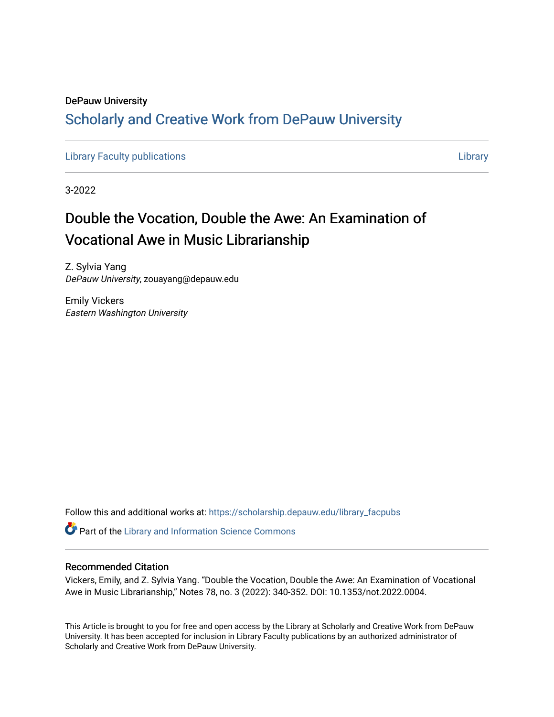## DePauw University Scholarly and [Creative Work from DePauw Univ](https://scholarship.depauw.edu/)ersity

[Library Faculty publications](https://scholarship.depauw.edu/library_facpubs) [Library](https://scholarship.depauw.edu/library) 

3-2022

# Double the Vocation, Double the Awe: An Examination of Vocational Awe in Music Librarianship

Z. Sylvia Yang DePauw University, zouayang@depauw.edu

Emily Vickers Eastern Washington University

Follow this and additional works at: [https://scholarship.depauw.edu/library\\_facpubs](https://scholarship.depauw.edu/library_facpubs?utm_source=scholarship.depauw.edu%2Flibrary_facpubs%2F8&utm_medium=PDF&utm_campaign=PDFCoverPages) 

Part of the [Library and Information Science Commons](https://network.bepress.com/hgg/discipline/1018?utm_source=scholarship.depauw.edu%2Flibrary_facpubs%2F8&utm_medium=PDF&utm_campaign=PDFCoverPages) 

### Recommended Citation

Vickers, Emily, and Z. Sylvia Yang. "Double the Vocation, Double the Awe: An Examination of Vocational Awe in Music Librarianship," Notes 78, no. 3 (2022): 340-352. DOI: 10.1353/not.2022.0004.

This Article is brought to you for free and open access by the Library at Scholarly and Creative Work from DePauw University. It has been accepted for inclusion in Library Faculty publications by an authorized administrator of Scholarly and Creative Work from DePauw University.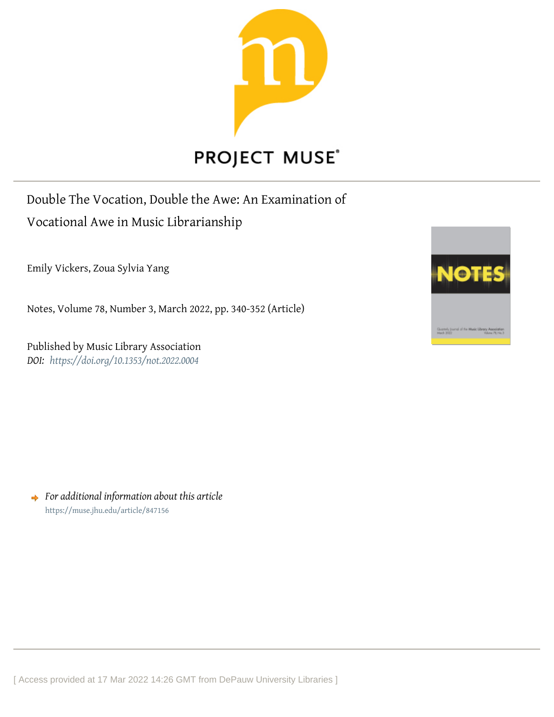

Double The Vocation, Double the Awe: An Examination of Vocational Awe in Music Librarianship

Emily Vickers, Zoua Sylvia Yang

Notes, Volume 78, Number 3, March 2022, pp. 340-352 (Article)

Published by Music Library Association *DOI: <https://doi.org/10.1353/not.2022.0004>*



*For additional information about this article* <https://muse.jhu.edu/article/847156>

[ Access provided at 17 Mar 2022 14:26 GMT from DePauw University Libraries ]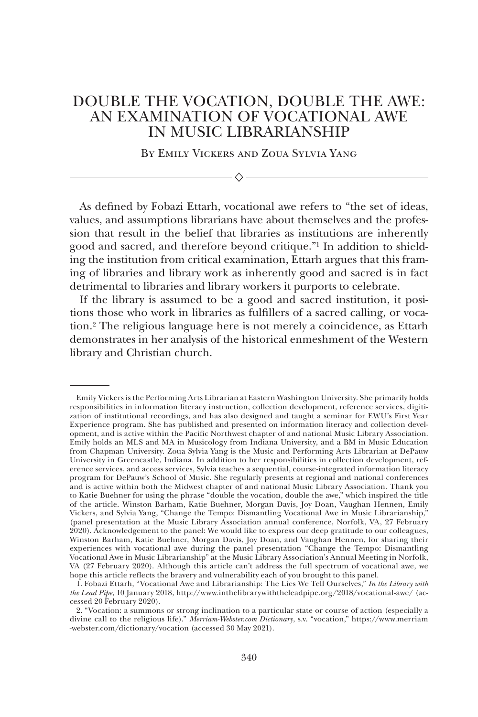## DOUBLE THE VOCATION, DOUBLE THE AWE: AN EXAMINATION OF VOCATIONAL AWE IN MUSIC LIBRARIANSHIP

By Emily Vickers and Zoua Sylvia Yang

 $\Diamond$  –

As defined by Fobazi Ettarh, vocational awe refers to "the set of ideas, values, and assumptions librarians have about themselves and the profession that result in the belief that libraries as institutions are inherently good and sacred, and therefore beyond critique."1 In addition to shielding the institution from critical examination, Ettarh argues that this framing of libraries and library work as inherently good and sacred is in fact detrimental to libraries and library workers it purports to celebrate.

If the library is assumed to be a good and sacred institution, it positions those who work in libraries as fulfillers of a sacred calling, or vocation.2 The religious language here is not merely a coincidence, as Ettarh demonstrates in her analysis of the historical enmeshment of the Western library and Christian church.

Emily Vickers is the Performing Arts Librarian at Eastern Washington University. She primarily holds responsibilities in information literacy instruction, collection development, reference services, digitization of institutional recordings, and has also designed and taught a seminar for EWU's First Year Experience program. She has published and presented on information literacy and collection development, and is active within the Pacific Northwest chapter of and national Music Library Association. Emily holds an MLS and MA in Musicology from Indiana University, and a BM in Music Education from Chapman University. Zoua Sylvia Yang is the Music and Performing Arts Librarian at DePauw University in Greencastle, Indiana. In addition to her responsibilities in collection development, reference services, and access services, Sylvia teaches a sequential, course-integrated information literacy program for DePauw's School of Music. She regularly presents at regional and national conferences and is active within both the Midwest chapter of and national Music Library Association. Thank you to Katie Buehner for using the phrase "double the vocation, double the awe," which inspired the title of the article. Winston Barham, Katie Buehner, Morgan Davis, Joy Doan, Vaughan Hennen, Emily Vickers, and Sylvia Yang, "Change the Tempo: Dismantling Vocational Awe in Music Librarianship," (panel presentation at the Music Library Association annual conference, Norfolk, VA, 27 February 2020). Acknowledgement to the panel: We would like to express our deep gratitude to our colleagues, Winston Barham, Katie Buehner, Morgan Davis, Joy Doan, and Vaughan Hennen, for sharing their experiences with vocational awe during the panel presentation "Change the Tempo: Dismantling Vocational Awe in Music Librarianship" at the Music Library Association's Annual Meeting in Norfolk, VA (27 February 2020). Although this article can't address the full spectrum of vocational awe, we hope this article reflects the bravery and vulnerability each of you brought to this panel.

<sup>1.</sup> Fobazi Ettarh, "Vocational Awe and Librarianship: The Lies We Tell Ourselves," *In the Library with the Lead Pipe*, 10 January 2018, http://www.inthelibrarywiththeleadpipe.org/2018/vocational-awe/ (accessed 20 February 2020).

<sup>2.</sup> "Vocation: a summons or strong inclination to a particular state or course of action (especially a divine call to the religious life)." *Merriam-Webster.com Dictionary*, s.v. "vocation," https://www.merriam -webster.com/dictionary/vocation (accessed 30 May 2021).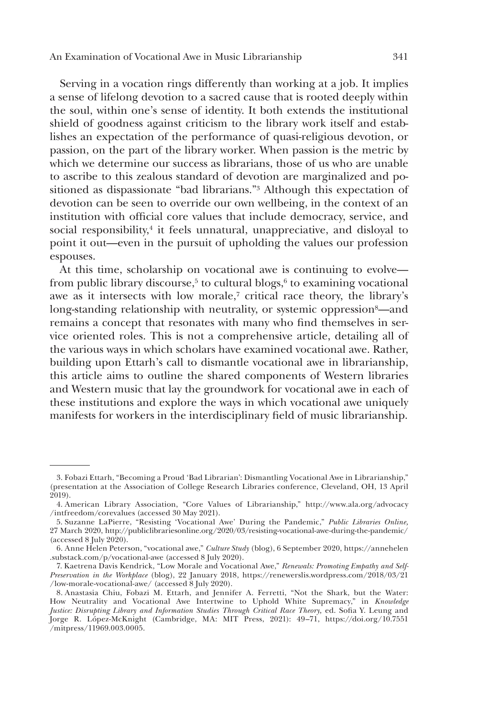Serving in a vocation rings differently than working at a job. It implies a sense of lifelong devotion to a sacred cause that is rooted deeply within the soul, within one's sense of identity. It both extends the institutional shield of goodness against criticism to the library work itself and establishes an expectation of the performance of quasi-religious devotion, or passion, on the part of the library worker. When passion is the metric by which we determine our success as librarians, those of us who are unable to ascribe to this zealous standard of devotion are marginalized and positioned as dispassionate "bad librarians."3 Although this expectation of devotion can be seen to override our own wellbeing, in the context of an institution with official core values that include democracy, service, and social responsibility, $4$  it feels unnatural, unappreciative, and disloyal to point it out—even in the pursuit of upholding the values our profession espouses.

At this time, scholarship on vocational awe is continuing to evolve from public library discourse, $5$  to cultural blogs, $6$  to examining vocational awe as it intersects with low morale,7 critical race theory, the library's long-standing relationship with neutrality, or systemic oppression<sup>8</sup>—and remains a concept that resonates with many who find themselves in service oriented roles. This is not a comprehensive article, detailing all of the various ways in which scholars have examined vocational awe. Rather, building upon Ettarh's call to dismantle vocational awe in librarianship, this article aims to outline the shared components of Western libraries and Western music that lay the groundwork for vocational awe in each of these institutions and explore the ways in which vocational awe uniquely manifests for workers in the interdisciplinary field of music librarianship.

<sup>3.</sup> Fobazi Ettarh, "Becoming a Proud 'Bad Librarian': Dismantling Vocational Awe in Librarianship," (presentation at the Association of College Research Libraries conference, Cleveland, OH, 13 April 2019).

<sup>4.</sup> American Library Association, "Core Values of Librarianship," http://www.ala.org/advocacy /intfreedom/corevalues (accessed 30 May 2021).

<sup>5.</sup> Suzanne LaPierre, "Resisting 'Vocational Awe' During the Pandemic," *Public Libraries Online,*  27 March 2020, http://publiclibrariesonline.org/2020/03/resisting-vocational-awe-during-the-pandemic/ (accessed 8 July 2020).

<sup>6.</sup> Anne Helen Peterson, "vocational awe," *Culture Study* (blog), 6 September 2020, https://annehelen .substack.com/p/vocational-awe (accessed 8 July 2020).

<sup>7.</sup> Kaetrena Davis Kendrick, "Low Morale and Vocational Awe," *Renewals: Promoting Empathy and Self-Preservation in the Workplace* (blog), 22 January 2018, https://renewerslis.wordpress.com/2018/03/21 /low-morale-vocational-awe/ (accessed  $8$  July 2020).

<sup>8.</sup> Anastasia Chiu, Fobazi M. Ettarh, and Jennifer A. Ferretti, "Not the Shark, but the Water: How Neutrality and Vocational Awe Intertwine to Uphold White Supremacy," in *Knowledge Justice: Disrupting Library and Information Studies Through Critical Race Theory,* ed. Sofia Y. Leung and Jorge R. López-McKnight (Cambridge, MA: MIT Press, 2021): 49–71, https://doi.org/10.7551 /mitpress/11969.003.0005.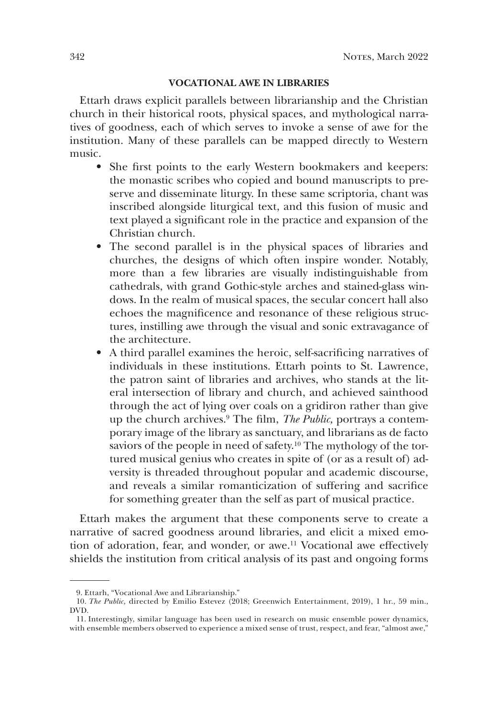#### **VOCATIONAL AWE IN LIBRARIES**

Ettarh draws explicit parallels between librarianship and the Christian church in their historical roots, physical spaces, and mythological narratives of goodness, each of which serves to invoke a sense of awe for the institution. Many of these parallels can be mapped directly to Western music.

- She first points to the early Western bookmakers and keepers: the monastic scribes who copied and bound manuscripts to preserve and disseminate liturgy. In these same scriptoria, chant was inscribed alongside liturgical text, and this fusion of music and text played a significant role in the practice and expansion of the Christian church.
- The second parallel is in the physical spaces of libraries and churches, the designs of which often inspire wonder. Notably, more than a few libraries are visually indistinguishable from cathedrals, with grand Gothic-style arches and stained-glass windows. In the realm of musical spaces, the secular concert hall also echoes the magnificence and resonance of these religious structures, instilling awe through the visual and sonic extravagance of the architecture.
- A third parallel examines the heroic, self-sacrificing narratives of individuals in these institutions. Ettarh points to St. Lawrence, the patron saint of libraries and archives, who stands at the literal intersection of library and church, and achieved sainthood through the act of lying over coals on a gridiron rather than give up the church archives.9 The film, *The Public,* portrays a contemporary image of the library as sanctuary, and librarians as de facto saviors of the people in need of safety.<sup>10</sup> The mythology of the tortured musical genius who creates in spite of (or as a result of) adversity is threaded throughout popular and academic discourse, and reveals a similar romanticization of suffering and sacrifice for something greater than the self as part of musical practice.

Ettarh makes the argument that these components serve to create a narrative of sacred goodness around libraries, and elicit a mixed emotion of adoration, fear, and wonder, or awe.<sup>11</sup> Vocational awe effectively shields the institution from critical analysis of its past and ongoing forms

<sup>9.</sup> Ettarh, "Vocational Awe and Librarianship."

<sup>10.</sup> *The Public,* directed by Emilio Estevez (2018; Greenwich Entertainment, 2019), 1 hr., 59 min., DVD.

<sup>11.</sup> Interestingly, similar language has been used in research on music ensemble power dynamics, with ensemble members observed to experience a mixed sense of trust, respect, and fear, "almost awe,"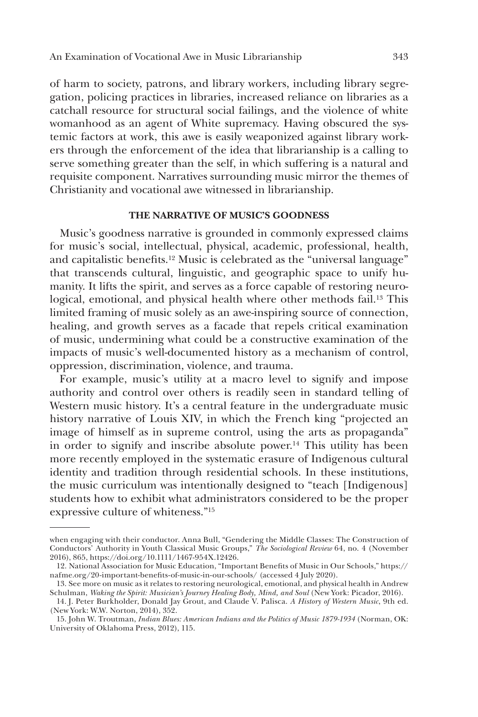of harm to society, patrons, and library workers, including library segregation, policing practices in libraries, increased reliance on libraries as a catchall resource for structural social failings, and the violence of white womanhood as an agent of White supremacy. Having obscured the systemic factors at work, this awe is easily weaponized against library workers through the enforcement of the idea that librarianship is a calling to serve something greater than the self, in which suffering is a natural and requisite component. Narratives surrounding music mirror the themes of Christianity and vocational awe witnessed in librarianship.

#### **THE NARRATIVE OF MUSIC'S GOODNESS**

Music's goodness narrative is grounded in commonly expressed claims for music's social, intellectual, physical, academic, professional, health, and capitalistic benefits.12 Music is celebrated as the "universal language" that transcends cultural, linguistic, and geographic space to unify humanity. It lifts the spirit, and serves as a force capable of restoring neurological, emotional, and physical health where other methods fail.13 This limited framing of music solely as an awe-inspiring source of connection, healing, and growth serves as a facade that repels critical examination of music, undermining what could be a constructive examination of the impacts of music's well-documented history as a mechanism of control, oppression, discrimination, violence, and trauma.

For example, music's utility at a macro level to signify and impose authority and control over others is readily seen in standard telling of Western music history. It's a central feature in the undergraduate music history narrative of Louis XIV, in which the French king "projected an image of himself as in supreme control, using the arts as propaganda" in order to signify and inscribe absolute power.14 This utility has been more recently employed in the systematic erasure of Indigenous cultural identity and tradition through residential schools. In these institutions, the music curriculum was intentionally designed to "teach [Indigenous] students how to exhibit what administrators considered to be the proper expressive culture of whiteness."<sup>15</sup>

when engaging with their conductor. Anna Bull, "Gendering the Middle Classes: The Construction of Conductors' Authority in Youth Classical Music Groups," *The Sociological Review* 64, no. 4 (November 2016), 865, https://doi.org/10.1111/1467-954X.12426.

<sup>12.</sup> National Association for Music Education, "Important Benefits of Music in Our Schools," https:// nafme.org/20-important-benefits-of-music-in-our-schools/ (accessed 4 July 2020).

<sup>13.</sup> See more on music as it relates to restoring neurological, emotional, and physical health in Andrew Schulman, *Waking the Spirit: Musician's Journey Healing Body, Mind, and Soul* (New York: Picador, 2016).

<sup>14.</sup> J. Peter Burkholder, Donald Jay Grout, and Claude V. Palisca. *A History of Western Music*, 9th ed. (New York: W.W. Norton, 2014), 352.

<sup>15.</sup> John W. Troutman, *Indian Blues: American Indians and the Politics of Music 1879-1934* (Norman, OK: University of Oklahoma Press, 2012), 115.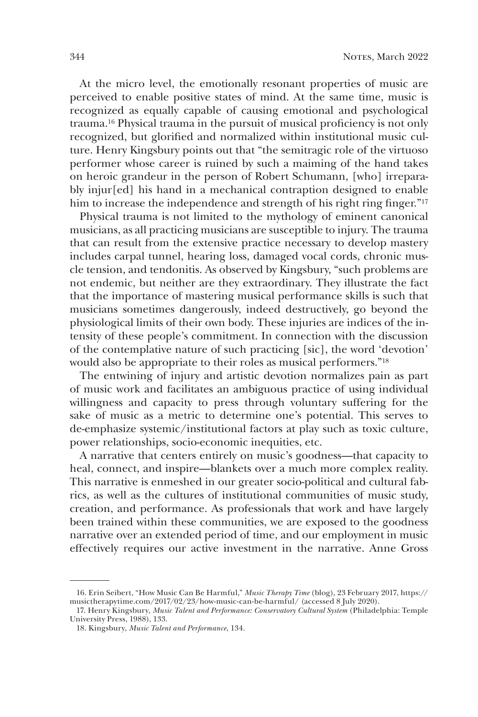At the micro level, the emotionally resonant properties of music are perceived to enable positive states of mind. At the same time, music is recognized as equally capable of causing emotional and psychological trauma.16 Physical trauma in the pursuit of musical proficiency is not only recognized, but glorified and normalized within institutional music culture. Henry Kingsbury points out that "the semitragic role of the virtuoso performer whose career is ruined by such a maiming of the hand takes on heroic grandeur in the person of Robert Schumann, [who] irreparably injur[ed] his hand in a mechanical contraption designed to enable him to increase the independence and strength of his right ring finger."<sup>17</sup>

Physical trauma is not limited to the mythology of eminent canonical musicians, as all practicing musicians are susceptible to injury. The trauma that can result from the extensive practice necessary to develop mastery includes carpal tunnel, hearing loss, damaged vocal cords, chronic muscle tension, and tendonitis. As observed by Kingsbury, "such problems are not endemic, but neither are they extraordinary. They illustrate the fact that the importance of mastering musical performance skills is such that musicians sometimes dangerously, indeed destructively, go beyond the physiological limits of their own body. These injuries are indices of the intensity of these people's commitment. In connection with the discussion of the contemplative nature of such practicing [sic], the word 'devotion' would also be appropriate to their roles as musical performers."<sup>18</sup>

The entwining of injury and artistic devotion normalizes pain as part of music work and facilitates an ambiguous practice of using individual willingness and capacity to press through voluntary suffering for the sake of music as a metric to determine one's potential. This serves to de-emphasize systemic/institutional factors at play such as toxic culture, power relationships, socio-economic inequities, etc.

A narrative that centers entirely on music's goodness—that capacity to heal, connect, and inspire—blankets over a much more complex reality. This narrative is enmeshed in our greater socio-political and cultural fabrics, as well as the cultures of institutional communities of music study, creation, and performance. As professionals that work and have largely been trained within these communities, we are exposed to the goodness narrative over an extended period of time, and our employment in music effectively requires our active investment in the narrative. Anne Gross

<sup>16.</sup> Erin Seibert, "How Music Can Be Harmful," *Music Therapy Time* (blog)*,* 23 February 2017, https:// musictherapytime.com/2017/02/23/how-music-can-be-harmful/ (accessed 8 July 2020).

<sup>17.</sup> Henry Kingsbury, *Music Talent and Performance: Conservatory Cultural System* (Philadelphia: Temple University Press, 1988), 133.

<sup>18.</sup> Kingsbury, *Music Talent and Performance*, 134.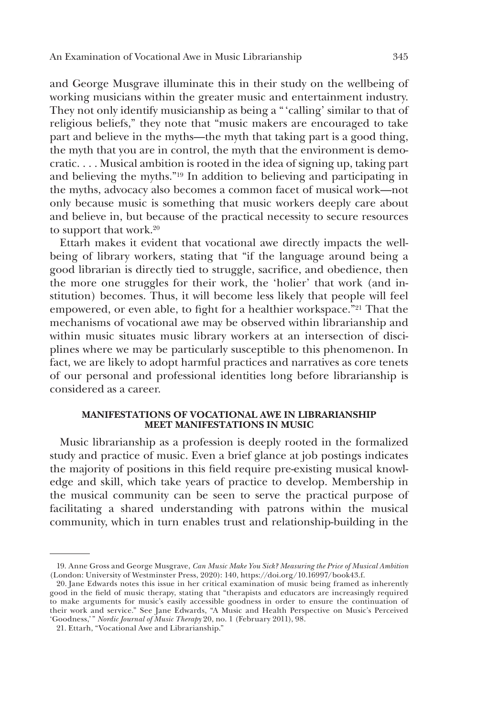and George Musgrave illuminate this in their study on the wellbeing of working musicians within the greater music and entertainment industry. They not only identify musicianship as being a " 'calling' similar to that of religious beliefs," they note that "music makers are encouraged to take part and believe in the myths—the myth that taking part is a good thing, the myth that you are in control, the myth that the environment is democratic. . . . Musical ambition is rooted in the idea of signing up, taking part and believing the myths."19 In addition to believing and participating in the myths, advocacy also becomes a common facet of musical work—not only because music is something that music workers deeply care about and believe in, but because of the practical necessity to secure resources to support that work.<sup>20</sup>

Ettarh makes it evident that vocational awe directly impacts the wellbeing of library workers, stating that "if the language around being a good librarian is directly tied to struggle, sacrifice, and obedience, then the more one struggles for their work, the 'holier' that work (and institution) becomes. Thus, it will become less likely that people will feel empowered, or even able, to fight for a healthier workspace."<sup>21</sup> That the mechanisms of vocational awe may be observed within librarianship and within music situates music library workers at an intersection of disciplines where we may be particularly susceptible to this phenomenon. In fact, we are likely to adopt harmful practices and narratives as core tenets of our personal and professional identities long before librarianship is considered as a career.

#### **MANIFESTATIONS OF VOCATIONAL AWE IN LIBRARIANSHIP MEET MANIFESTATIONS IN MUSIC**

Music librarianship as a profession is deeply rooted in the formalized study and practice of music. Even a brief glance at job postings indicates the majority of positions in this field require pre-existing musical knowledge and skill, which take years of practice to develop. Membership in the musical community can be seen to serve the practical purpose of facilitating a shared understanding with patrons within the musical community, which in turn enables trust and relationship-building in the

<sup>19.</sup> Anne Gross and George Musgrave, *Can Music Make You Sick? Measuring the Price of Musical Ambition* (London: University of Westminster Press, 2020): 140, https://doi.org/10.16997/book43.f.

<sup>20.</sup> Jane Edwards notes this issue in her critical examination of music being framed as inherently good in the field of music therapy, stating that "therapists and educators are increasingly required to make arguments for music's easily accessible goodness in order to ensure the continuation of their work and service." See Jane Edwards, "A Music and Health Perspective on Music's Perceived 'Goodness,'" *Nordic Journal of Music Therapy* 20, no. 1 (February 2011), 98.

<sup>21.</sup> Ettarh, "Vocational Awe and Librarianship."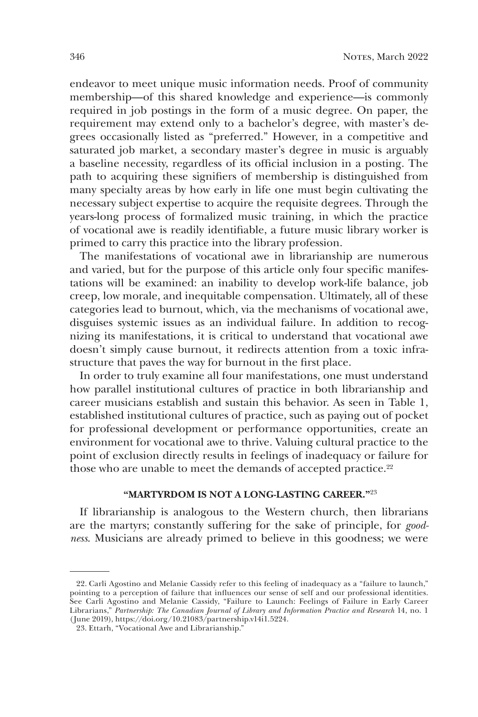endeavor to meet unique music information needs. Proof of community membership—of this shared knowledge and experience—is commonly required in job postings in the form of a music degree. On paper, the requirement may extend only to a bachelor's degree, with master's degrees occasionally listed as "preferred." However, in a competitive and saturated job market, a secondary master's degree in music is arguably a baseline necessity, regardless of its official inclusion in a posting. The path to acquiring these signifiers of membership is distinguished from many specialty areas by how early in life one must begin cultivating the necessary subject expertise to acquire the requisite degrees. Through the years-long process of formalized music training, in which the practice of vocational awe is readily identifiable, a future music library worker is primed to carry this practice into the library profession.

The manifestations of vocational awe in librarianship are numerous and varied, but for the purpose of this article only four specific manifestations will be examined: an inability to develop work-life balance, job creep, low morale, and inequitable compensation. Ultimately, all of these categories lead to burnout, which, via the mechanisms of vocational awe, disguises systemic issues as an individual failure. In addition to recognizing its manifestations, it is critical to understand that vocational awe doesn't simply cause burnout, it redirects attention from a toxic infrastructure that paves the way for burnout in the first place.

In order to truly examine all four manifestations, one must understand how parallel institutional cultures of practice in both librarianship and career musicians establish and sustain this behavior. As seen in Table 1, established institutional cultures of practice, such as paying out of pocket for professional development or performance opportunities, create an environment for vocational awe to thrive. Valuing cultural practice to the point of exclusion directly results in feelings of inadequacy or failure for those who are unable to meet the demands of accepted practice.<sup>22</sup>

#### **"MARTYRDOM IS NOT A LONG-LASTING CAREER."**<sup>23</sup>

If librarianship is analogous to the Western church, then librarians are the martyrs; constantly suffering for the sake of principle, for *goodness*. Musicians are already primed to believe in this goodness; we were

<sup>22.</sup> Carli Agostino and Melanie Cassidy refer to this feeling of inadequacy as a "failure to launch," pointing to a perception of failure that influences our sense of self and our professional identities. See Carli Agostino and Melanie Cassidy, "Failure to Launch: Feelings of Failure in Early Career Librarians," *Partnership: The Canadian Journal of Library and Information Practice and Research* 14, no. 1 (June 2019), https://doi.org/10.21083/partnership.v14i1.5224.

<sup>23.</sup> Ettarh, "Vocational Awe and Librarianship."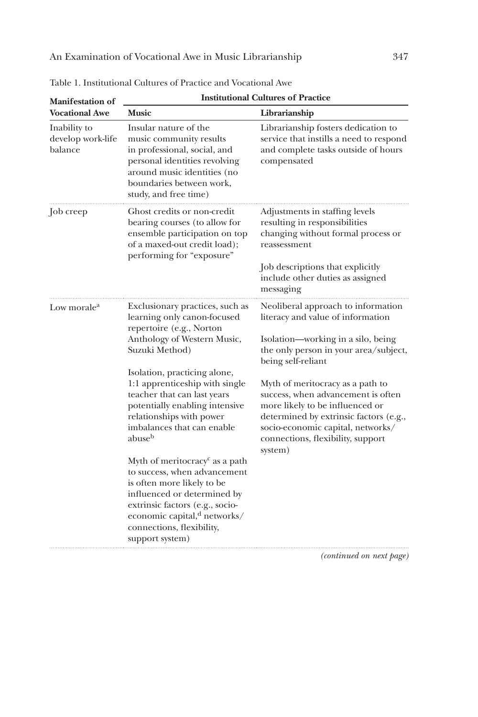| <b>Manifestation of</b><br><b>Vocational Awe</b> | <b>Institutional Cultures of Practice</b>                                                                                                                                                                                                                                                                                                                                                                                                                                                                                                                                                                                       |                                                                                                                                                                                                                                                                                                                                                                                                                          |  |
|--------------------------------------------------|---------------------------------------------------------------------------------------------------------------------------------------------------------------------------------------------------------------------------------------------------------------------------------------------------------------------------------------------------------------------------------------------------------------------------------------------------------------------------------------------------------------------------------------------------------------------------------------------------------------------------------|--------------------------------------------------------------------------------------------------------------------------------------------------------------------------------------------------------------------------------------------------------------------------------------------------------------------------------------------------------------------------------------------------------------------------|--|
|                                                  | <b>Music</b>                                                                                                                                                                                                                                                                                                                                                                                                                                                                                                                                                                                                                    | Librarianship                                                                                                                                                                                                                                                                                                                                                                                                            |  |
| Inability to<br>develop work-life<br>balance     | Insular nature of the<br>music community results<br>in professional, social, and<br>personal identities revolving<br>around music identities (no<br>boundaries between work,<br>study, and free time)                                                                                                                                                                                                                                                                                                                                                                                                                           | Librarianship fosters dedication to<br>service that instills a need to respond<br>and complete tasks outside of hours<br>compensated                                                                                                                                                                                                                                                                                     |  |
| Job creep                                        | Ghost credits or non-credit<br>bearing courses (to allow for<br>ensemble participation on top<br>of a maxed-out credit load);<br>performing for "exposure"                                                                                                                                                                                                                                                                                                                                                                                                                                                                      | Adjustments in staffing levels<br>resulting in responsibilities<br>changing without formal process or<br>reassessment<br>Job descriptions that explicitly<br>include other duties as assigned<br>messaging                                                                                                                                                                                                               |  |
| Low morale <sup>a</sup>                          | Exclusionary practices, such as<br>learning only canon-focused<br>repertoire (e.g., Norton<br>Anthology of Western Music,<br>Suzuki Method)<br>Isolation, practicing alone,<br>1:1 apprenticeship with single<br>teacher that can last years<br>potentially enabling intensive<br>relationships with power<br>imbalances that can enable<br>abuse <sup>b</sup><br>Myth of meritocracy <sup>c</sup> as a path<br>to success, when advancement<br>is often more likely to be<br>influenced or determined by<br>extrinsic factors (e.g., socio-<br>economic capital, $d$ networks/<br>connections, flexibility,<br>support system) | Neoliberal approach to information<br>literacy and value of information<br>Isolation—working in a silo, being<br>the only person in your area/subject,<br>being self-reliant<br>Myth of meritocracy as a path to<br>success, when advancement is often<br>more likely to be influenced or<br>determined by extrinsic factors (e.g.,<br>socio-economic capital, networks/<br>connections, flexibility, support<br>system) |  |

*(continued on next page)*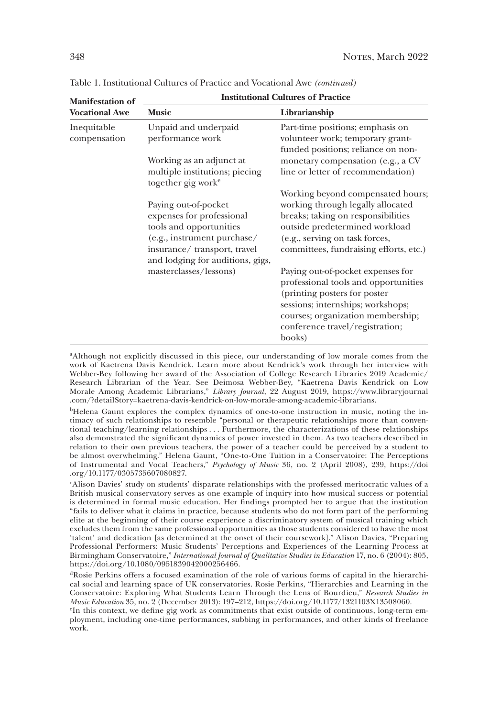| <b>Manifestation of</b>     | <b>Institutional Cultures of Practice</b>                                                                                                  |                                                                                                                                                                                                                                   |  |
|-----------------------------|--------------------------------------------------------------------------------------------------------------------------------------------|-----------------------------------------------------------------------------------------------------------------------------------------------------------------------------------------------------------------------------------|--|
| <b>Vocational Awe</b>       | <b>Music</b>                                                                                                                               | Librarianship                                                                                                                                                                                                                     |  |
| Inequitable<br>compensation | Unpaid and underpaid<br>performance work                                                                                                   | Part-time positions; emphasis on<br>volunteer work; temporary grant-<br>funded positions; reliance on non-                                                                                                                        |  |
|                             | Working as an adjunct at<br>multiple institutions; piecing<br>together gig work <sup>e</sup>                                               | monetary compensation (e.g., a CV<br>line or letter of recommendation)                                                                                                                                                            |  |
|                             | Paying out-of-pocket<br>expenses for professional<br>tools and opportunities<br>(e.g., instrument purchase/<br>insurance/transport, travel | Working beyond compensated hours;<br>working through legally allocated<br>breaks; taking on responsibilities<br>outside predetermined workload<br>(e.g., serving on task forces,<br>committees, fundraising efforts, etc.)        |  |
|                             | and lodging for auditions, gigs,<br>masterclasses/lessons)                                                                                 | Paying out-of-pocket expenses for<br>professional tools and opportunities<br>(printing posters for poster)<br>sessions; internships; workshops;<br>courses; organization membership;<br>conference travel/registration;<br>books) |  |

Table 1. Institutional Cultures of Practice and Vocational Awe *(continued)*

<sup>a</sup>Although not explicitly discussed in this piece, our understanding of low morale comes from the work of Kaetrena Davis Kendrick. Learn more about Kendrick's work through her interview with Webber-Bey following her award of the Association of College Research Libraries 2019 Academic/ Research Librarian of the Year. See Deimosa Webber-Bey, "Kaetrena Davis Kendrick on Low Morale Among Academic Librarians," *Library Journal*, 22 August 2019, https://www.libraryjournal .com/?detailStory=kaetrena-davis-kendrick-on-low-morale-among-academic-librarians.

bHelena Gaunt explores the complex dynamics of one-to-one instruction in music, noting the intimacy of such relationships to resemble "personal or therapeutic relationships more than conventional teaching/learning relationships . . . Furthermore, the characterizations of these relationships also demonstrated the significant dynamics of power invested in them. As two teachers described in relation to their own previous teachers, the power of a teacher could be perceived by a student to be almost overwhelming." Helena Gaunt, "One-to-One Tuition in a Conservatoire: The Perceptions of Instrumental and Vocal Teachers," *Psychology of Music* 36, no. 2 (April 2008), 239, https://doi .org/10.1177/0305735607080827.

<sup>c</sup>Alison Davies' study on students' disparate relationships with the professed meritocratic values of a British musical conservatory serves as one example of inquiry into how musical success or potential is determined in formal music education. Her findings prompted her to argue that the institution "fails to deliver what it claims in practice, because students who do not form part of the performing elite at the beginning of their course experience a discriminatory system of musical training which excludes them from the same professional opportunities as those students considered to have the most 'talent' and dedication [as determined at the onset of their coursework]." Alison Davies, "Preparing Professional Performers: Music Students' Perceptions and Experiences of the Learning Process at Birmingham Conservatoire," *International Journal of Qualitative Studies in Education* 17, no. 6 (2004): 805, https://doi.org/10.1080/0951839042000256466.

dRosie Perkins offers a focused examination of the role of various forms of capital in the hierarchical social and learning space of UK conservatories. Rosie Perkins, "Hierarchies and Learning in the Conservatoire: Exploring What Students Learn Through the Lens of Bourdieu," *Research Studies in Music Education* 35, no. 2 (December 2013): 197–212, https://doi.org/10.1177/1321103X13508060.

<sup>&</sup>lt;sup>e</sup>In this context, we define gig work as commitments that exist outside of continuous, long-term employment, including one-time performances, subbing in performances, and other kinds of freelance work.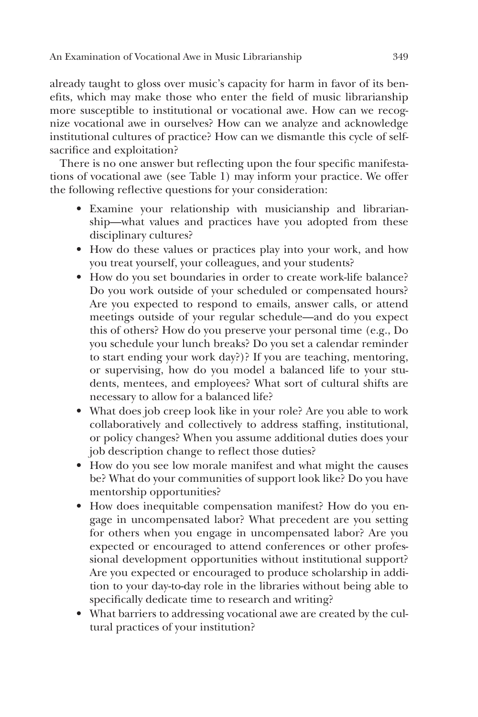already taught to gloss over music's capacity for harm in favor of its benefits, which may make those who enter the field of music librarianship more susceptible to institutional or vocational awe. How can we recognize vocational awe in ourselves? How can we analyze and acknowledge institutional cultures of practice? How can we dismantle this cycle of selfsacrifice and exploitation?

There is no one answer but reflecting upon the four specific manifestations of vocational awe (see Table 1) may inform your practice. We offer the following reflective questions for your consideration:

- Examine your relationship with musicianship and librarianship—what values and practices have you adopted from these disciplinary cultures?
- How do these values or practices play into your work, and how you treat yourself, your colleagues, and your students?
- How do you set boundaries in order to create work-life balance? Do you work outside of your scheduled or compensated hours? Are you expected to respond to emails, answer calls, or attend meetings outside of your regular schedule—and do you expect this of others? How do you preserve your personal time (e.g., Do you schedule your lunch breaks? Do you set a calendar reminder to start ending your work day?)? If you are teaching, mentoring, or supervising, how do you model a balanced life to your students, mentees, and employees? What sort of cultural shifts are necessary to allow for a balanced life?
- What does job creep look like in your role? Are you able to work collaboratively and collectively to address staffing, institutional, or policy changes? When you assume additional duties does your job description change to reflect those duties?
- How do you see low morale manifest and what might the causes be? What do your communities of support look like? Do you have mentorship opportunities?
- How does inequitable compensation manifest? How do you engage in uncompensated labor? What precedent are you setting for others when you engage in uncompensated labor? Are you expected or encouraged to attend conferences or other professional development opportunities without institutional support? Are you expected or encouraged to produce scholarship in addition to your day-to-day role in the libraries without being able to specifically dedicate time to research and writing?
- What barriers to addressing vocational awe are created by the cultural practices of your institution?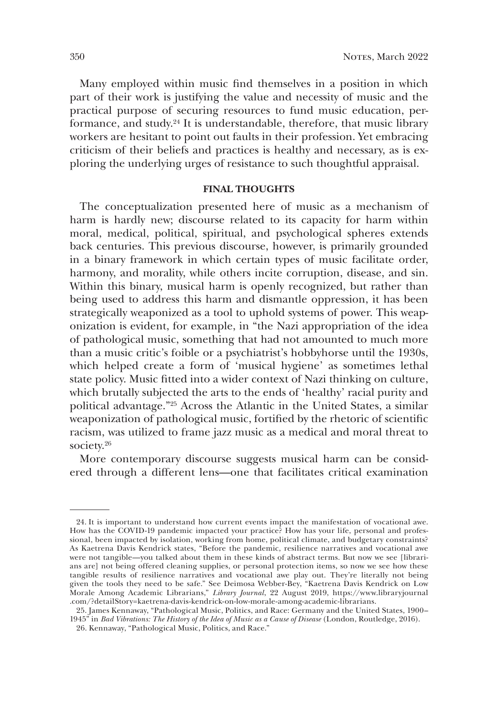Many employed within music find themselves in a position in which part of their work is justifying the value and necessity of music and the practical purpose of securing resources to fund music education, performance, and study.24 It is understandable, therefore, that music library workers are hesitant to point out faults in their profession. Yet embracing criticism of their beliefs and practices is healthy and necessary, as is exploring the underlying urges of resistance to such thoughtful appraisal.

#### **FINAL THOUGHTS**

The conceptualization presented here of music as a mechanism of harm is hardly new; discourse related to its capacity for harm within moral, medical, political, spiritual, and psychological spheres extends back centuries. This previous discourse, however, is primarily grounded in a binary framework in which certain types of music facilitate order, harmony, and morality, while others incite corruption, disease, and sin. Within this binary, musical harm is openly recognized, but rather than being used to address this harm and dismantle oppression, it has been strategically weaponized as a tool to uphold systems of power. This weaponization is evident, for example, in "the Nazi appropriation of the idea of pathological music, something that had not amounted to much more than a music critic's foible or a psychiatrist's hobbyhorse until the 1930s, which helped create a form of 'musical hygiene' as sometimes lethal state policy. Music fitted into a wider context of Nazi thinking on culture, which brutally subjected the arts to the ends of 'healthy' racial purity and political advantage."25 Across the Atlantic in the United States, a similar weaponization of pathological music, fortified by the rhetoric of scientific racism, was utilized to frame jazz music as a medical and moral threat to society.26

More contemporary discourse suggests musical harm can be considered through a different lens—one that facilitates critical examination

<sup>24.</sup> It is important to understand how current events impact the manifestation of vocational awe. How has the COVID-19 pandemic impacted your practice? How has your life, personal and professional, been impacted by isolation, working from home, political climate, and budgetary constraints? As Kaetrena Davis Kendrick states, "Before the pandemic, resilience narratives and vocational awe were not tangible—you talked about them in these kinds of abstract terms. But now we see [librarians are] not being offered cleaning supplies, or personal protection items, so now we see how these tangible results of resilience narratives and vocational awe play out. They're literally not being given the tools they need to be safe." See Deimosa Webber-Bey, "Kaetrena Davis Kendrick on Low Morale Among Academic Librarians," *Library Journal*, 22 August 2019, https://www.libraryjournal .com/?detailStory=kaetrena-davis-kendrick-on-low-morale-among-academic-librarians.

<sup>25.</sup> James Kennaway, "Pathological Music, Politics, and Race: Germany and the United States, 1900– 1945" in *Bad Vibrations: The History of the Idea of Music as a Cause of Disease* (London, Routledge, 2016).

<sup>26.</sup> Kennaway, "Pathological Music, Politics, and Race."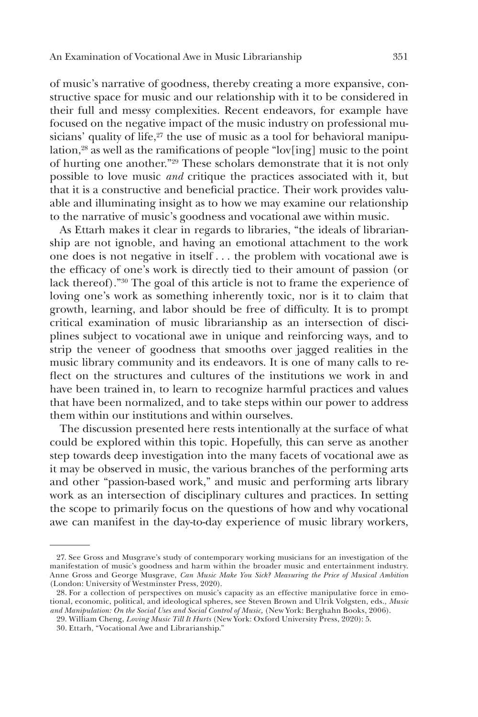of music's narrative of goodness, thereby creating a more expansive, constructive space for music and our relationship with it to be considered in their full and messy complexities. Recent endeavors, for example have focused on the negative impact of the music industry on professional musicians' quality of life,<sup>27</sup> the use of music as a tool for behavioral manipulation,28 as well as the ramifications of people "lov[ing] music to the point of hurting one another."29 These scholars demonstrate that it is not only possible to love music *and* critique the practices associated with it, but that it is a constructive and beneficial practice. Their work provides valuable and illuminating insight as to how we may examine our relationship to the narrative of music's goodness and vocational awe within music.

As Ettarh makes it clear in regards to libraries, "the ideals of librarianship are not ignoble, and having an emotional attachment to the work one does is not negative in itself . . . the problem with vocational awe is the efficacy of one's work is directly tied to their amount of passion (or lack thereof)."30 The goal of this article is not to frame the experience of loving one's work as something inherently toxic, nor is it to claim that growth, learning, and labor should be free of difficulty. It is to prompt critical examination of music librarianship as an intersection of disciplines subject to vocational awe in unique and reinforcing ways, and to strip the veneer of goodness that smooths over jagged realities in the music library community and its endeavors. It is one of many calls to reflect on the structures and cultures of the institutions we work in and have been trained in, to learn to recognize harmful practices and values that have been normalized, and to take steps within our power to address them within our institutions and within ourselves.

The discussion presented here rests intentionally at the surface of what could be explored within this topic. Hopefully, this can serve as another step towards deep investigation into the many facets of vocational awe as it may be observed in music, the various branches of the performing arts and other "passion-based work," and music and performing arts library work as an intersection of disciplinary cultures and practices. In setting the scope to primarily focus on the questions of how and why vocational awe can manifest in the day-to-day experience of music library workers,

<sup>27.</sup> See Gross and Musgrave's study of contemporary working musicians for an investigation of the manifestation of music's goodness and harm within the broader music and entertainment industry. Anne Gross and George Musgrave, *Can Music Make You Sick? Measuring the Price of Musical Ambition*  (London: University of Westminster Press, 2020).

<sup>28.</sup> For a collection of perspectives on music's capacity as an effective manipulative force in emotional, economic, political, and ideological spheres, see Steven Brown and Ulrik Volgsten, eds., *Music and Manipulation: On the Social Uses and Social Control of Music,* (New York: Berghahn Books, 2006).

<sup>29.</sup> William Cheng, *Loving Music Till It Hurts* (New York: Oxford University Press, 2020): 5.

<sup>30.</sup> Ettarh, "Vocational Awe and Librarianship."